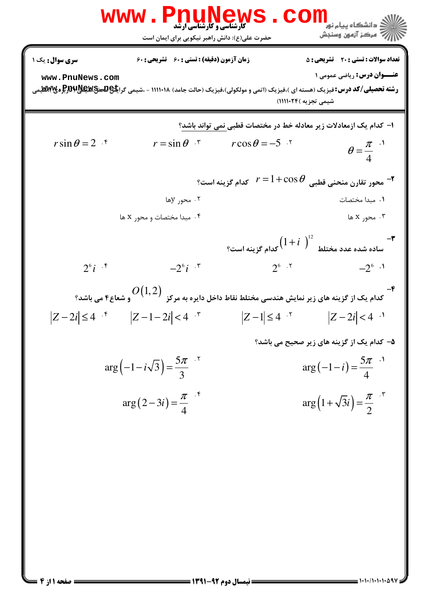**[www.PnuNews.com](http://pnunews.com)** كارشناسي و كارشناسي ارشد :( ) - ! " %\$: %\$: & #\$: : : تعداد سوالات : تستي تشريحي زمان آزمون (دقيقه) : تستي تشريحي سري سوال : عنــوان درس ! **[www.PnuNews.com](http://pnunews.com) [www.PnuNews.net](http://www.PnuNews.net)**8,( 9) 8,56 7 8, 3 !!!!\$!4 (12 
-) "'(,(-.- / 0) "'(,( )\*+) "'( : رشته تحصيلي/كد درس ( )':0 8 !!!!\$#;( H18 10 <= >\*? @A )-B C DBC E F1G - 1 *r*sin<sup>θ</sup> = 2 *r* = sin<sup>θ</sup> *r* cos<sup>θ</sup> = −5 . . . . - ! π <sup>θ</sup> = 4 1 cos <= J6J K0 6 H
 )J'7 F1G *r* = + <sup>θ</sup> - 2 . . ! y . . x x <sup>12</sup> 1+ *i* - 3 \*? 1 L18 L ( ) H
 )J'7 F1G @-. . . . - ! 2 *i* 6 −2 *i* 6 6 −2 6 2 *O*(1,2) - 4 H18 ; B8 / 'G ) L MA NK @-\*? 1J C )J'7 C E F1G . . . . - ! *Z i* − ≤ 2 4 *Z i* − − < 1 2 4 *Z* − ≤ 1 4 *Z i* − < 2 4 H18 O6P C )J'7 C E F1G - 5 5 . . ! ( ) <sup>5</sup> π π ( ) − − = − − = arg 1 3 *i* arg 1 *i* 3 4 . . π π arg 2 3 ( ) + = − = *i* arg 1 3 ( ) *i* 4 2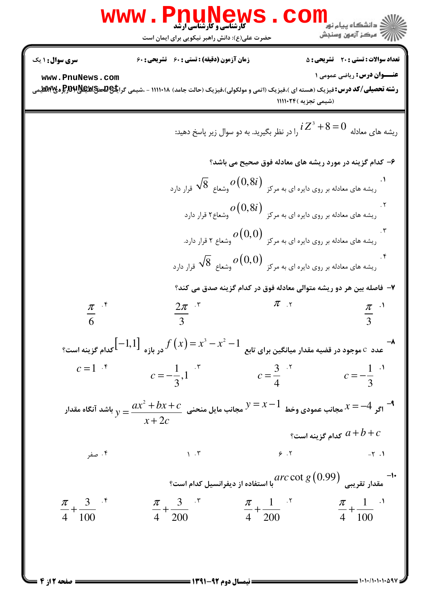|                                 | WWW.Pnunews<br>حضرت علی(ع): دانش راهبر نیکویی برای ایمان است                                                                                 |                                                                                                                                  | <mark>ڪ</mark> دانشگاه پيام نو <mark>ر</mark><br>رُ⁄ کرڪز آزمون وسنڊش |
|---------------------------------|----------------------------------------------------------------------------------------------------------------------------------------------|----------------------------------------------------------------------------------------------------------------------------------|-----------------------------------------------------------------------|
| سری سوال: ۱ یک                  | زمان آزمون (دقیقه) : تستی : ۶۰٪ تشریحی : ۶۰                                                                                                  |                                                                                                                                  | <b>تعداد سوالات : تستی : 20 ٪ تشریحی : 5</b>                          |
| www.PnuNews.com                 | <b>رشته تحصیلی/کد درس:</b> فیزیک (هسته ای )،فیزیک (اتمی و مولکولی)،فیزیک (حالت جامد) ۱۱۱۰۱۸ - ،شیمی گرا <del>یا\$Q&amp;ي</del> ق\$Q#Q&و&Wيسي | (شیمی تجزیه )۲۴-۱۱۱۱۰                                                                                                            | <b>عنـــوان درس:</b> ریاضی عمومی ۱                                    |
|                                 |                                                                                                                                              | ریشه های معادله $1 Z^3 + 8 = 0$ را در نظر بگیرید. به دو سوال زیر پاسخ دهید:                                                      |                                                                       |
|                                 |                                                                                                                                              | ۶- کدام گزینه در مورد ریشه های معادله فوق صحیح می باشد؟                                                                          |                                                                       |
|                                 |                                                                                                                                              | ۰۱ . $\sqrt{8}\,\,$ ریشه های معادله بر روی دایره ای به مرکز $o(0,8i)$ وشعاع $\sqrt{8}\,\,$ قرار دارد                             |                                                                       |
|                                 |                                                                                                                                              | ۲.<br>ریشه های معادله بر روی دایره ای به مرکز $o\big(0,8i\big)$ وشعاع۲ قرار دارد $^{\circ}$                                      |                                                                       |
|                                 |                                                                                                                                              | ۳.<br>ریشه های معادله بر روی دایره ای به مرکز $o\big(0,0\big)$ وشعاع ۲ قرار دارد.                                                |                                                                       |
|                                 |                                                                                                                                              | ۰۴.<br>ریشه های معادله بر روی دایره ای به مرکز $o\big(0,0\big)$ وشعاع $\sqrt{8}$ قرار دارد                                       |                                                                       |
|                                 |                                                                                                                                              | ۷– فاصله بین هر دو ریشه متوالی معادله فوق در کدام گزینه صدق می کند؟                                                              |                                                                       |
| $\pi$ $\cdot$                   | $rac{2\pi}{3}$ .*                                                                                                                            | $\pi$ x                                                                                                                          | $rac{\pi}{3}$ <sup>.1</sup>                                           |
|                                 | -<br>عدد $\,$ موجود در قضیه مقدار میانگین برای تابع $f\left(x\right)=x^{3}-x^{2}-1$ در بازه $\left[-1,1\right]$ کدام گزینه است؟ $\,$         |                                                                                                                                  |                                                                       |
| $c=1$ $\cdot$ <sup>*</sup>      |                                                                                                                                              | $c = -\frac{1}{3}, 1$                                                                                                            |                                                                       |
|                                 | اگر $x=-4$ مجانب عمودی وخط $y=x-1$ مجانب مایل منحنی $\cfrac{ax^2+bx+c}{x+2c}$ باشد آنگاه مقدار $x=-4$                                        |                                                                                                                                  |                                                                       |
|                                 |                                                                                                                                              |                                                                                                                                  | كدام گزينه است؟ $a+b+c$                                               |
| ۰۴ صفر                          | $\mathcal{N}$ . $\mathcal{N}$                                                                                                                |                                                                                                                                  | $6.7$ $-7.1$                                                          |
|                                 |                                                                                                                                              | -۱۰ هقدار تقریبی $\mathop{arc\,otimes\,(0.99)}\limits_{\mathfrak{g}\,(\textcolor{red}{0.99)}}$ با استفاده از دیفرانسیل کدام است؟ |                                                                       |
| $\frac{\pi}{4} + \frac{3}{100}$ | $\frac{\pi}{4} + \frac{3}{200}$ $\frac{\pi}{4} + \frac{1}{200}$ $\frac{\pi}{4} + \frac{1}{100}$                                              |                                                                                                                                  |                                                                       |
|                                 |                                                                                                                                              |                                                                                                                                  |                                                                       |
|                                 |                                                                                                                                              |                                                                                                                                  |                                                                       |

= صفحه 2 از 4 ـــا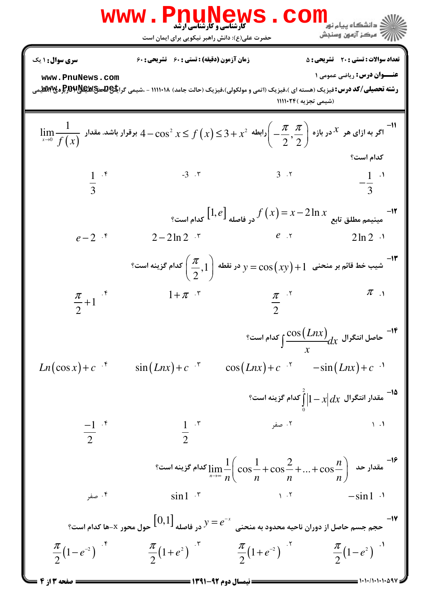|                                 | <b>WWW.PNUNEWS</b><br><b>کارشناسی و کارشناسی ارشد</b><br>حضرت علی(ع): دانش راهبر نیکویی برای ایمان است                                                                                     | <b>CO</b>                              | ے<br>دانشکاہ پیام نو <b>ر</b><br>أآت مركز آزمون وسنجش                                                           |
|---------------------------------|--------------------------------------------------------------------------------------------------------------------------------------------------------------------------------------------|----------------------------------------|-----------------------------------------------------------------------------------------------------------------|
| <b>سری سوال :</b> ۱ یک          | زمان آزمون (دقیقه) : تستی : ۶۰٪ تشریحی : ۶۰                                                                                                                                                |                                        | <b>تعداد سوالات : تستی : 20 قشریحی : 5</b>                                                                      |
| www.PnuNews.com                 | <b>رشته تحصیلی/کد درس:</b> فیزیک (هسته ای )،فیزیک (اتمی و مولکولی)،فیزیک (حالت جامد) ۱۱۱۰۱۸ - ،شیمی گرا <del>یا\$QA من</del> \$QARپلا\$QRپلا#R                                             |                                        | <b>عنـــوان درس:</b> رياضي عمومي 1                                                                              |
|                                 |                                                                                                                                                                                            | (شیمی تجزیه )۱۱۱۱۰۲۴                   |                                                                                                                 |
|                                 | $\lim_{x\to 0} \frac{1}{f(x)}$ اگر به ازای هر $x$ در بازه $\left(-\frac{\pi}{2},\frac{\pi}{2}\right)$ رابطه $x^2+x^2\leq f(x)\leq 4-\cos^2 x\leq f(x)$ برقرار باشد. مقدار $\frac{1}{f(x)}$ |                                        |                                                                                                                 |
|                                 |                                                                                                                                                                                            |                                        | كدام است؟                                                                                                       |
| $\frac{1}{3}$ .*                | $-3.7$                                                                                                                                                                                     | 3.7                                    | $-\frac{1}{3}$ $\cdot$                                                                                          |
|                                 |                                                                                                                                                                                            |                                        |                                                                                                                 |
| $e-2$ $.5$                      | $2 - 2 \ln 2$ *                                                                                                                                                                            |                                        |                                                                                                                 |
|                                 | است؟ $y=\cos{(xy)}+1$ شيب خط قائم بر منحنى $1+\cos{(xy)}+1$ در نقطه $\left(\frac{\pi}{2},1\right)$ كدام گزينه است $^{-1}$                                                                  |                                        |                                                                                                                 |
| $\frac{\pi}{2}+1$ <sup>.*</sup> | $1+\pi$ $\cdot$                                                                                                                                                                            | $rac{\pi}{2}$                          | $\pi$ .                                                                                                         |
|                                 |                                                                                                                                                                                            |                                        | ° حاصل انتگرال $\displaystyle \frac{\cos\big(Lnx\big)}{x}$ کدام است $\displaystyle \frac{\cos\big(Lnx\big)}{x}$ |
| $Ln(\cos x) + c^{-5}$           | $\sin(Lnx) + c$                                                                                                                                                                            | $cos(Lnx) + c$ $-sin(Lnx) + c$ $\cdot$ |                                                                                                                 |
|                                 |                                                                                                                                                                                            |                                        | $^{\circ}$ مقدار انتگرال $\int\limits_{0}^{\cdot} 1\!-\!x dx$ کدام گزینه است $^{\circ}$                         |
| $\frac{-1}{2}$ .*               | $rac{1}{2}$ . r                                                                                                                                                                            |                                        | ۰۱ (مفر                                                                                                         |
|                                 | $\lim_{n\to\infty}\frac{1}{n!}\bigg(\cos\frac{1}{n}+\cos\frac{2}{n}++\cos\frac{n}{n}\bigg)$ مقدار حد $\bigg(\frac{n}{n}\bigg)$ --16                                                        |                                        |                                                                                                                 |
| ۰۴ صفر                          | $\sin 1 \cdot$ *                                                                                                                                                                           | $\mathcal{N}$                          | $-\sin 1$ $\cdot$                                                                                               |
|                                 | ۱۷–<br>حجم جسم حاصل از دوران ناحیه محدود به منحنی $e^{-x}$ در فاصله $\left[0,1\right]$ حول محور x–ها کدام است؟                                                                             |                                        |                                                                                                                 |
|                                 | $rac{\pi}{2}(1-e^{-2})$ $rac{\pi}{2}(1+e^{2})$ $rac{\pi}{2}(1+e^{-2})$ $rac{\pi}{2}(1+e^{-2})$ $rac{\pi}{2}(1-e^{2})$                                                                      |                                        |                                                                                                                 |
| = صفحه ١٣: ٤                    | == نیمسال دوم 92-1391 =                                                                                                                                                                    |                                        |                                                                                                                 |